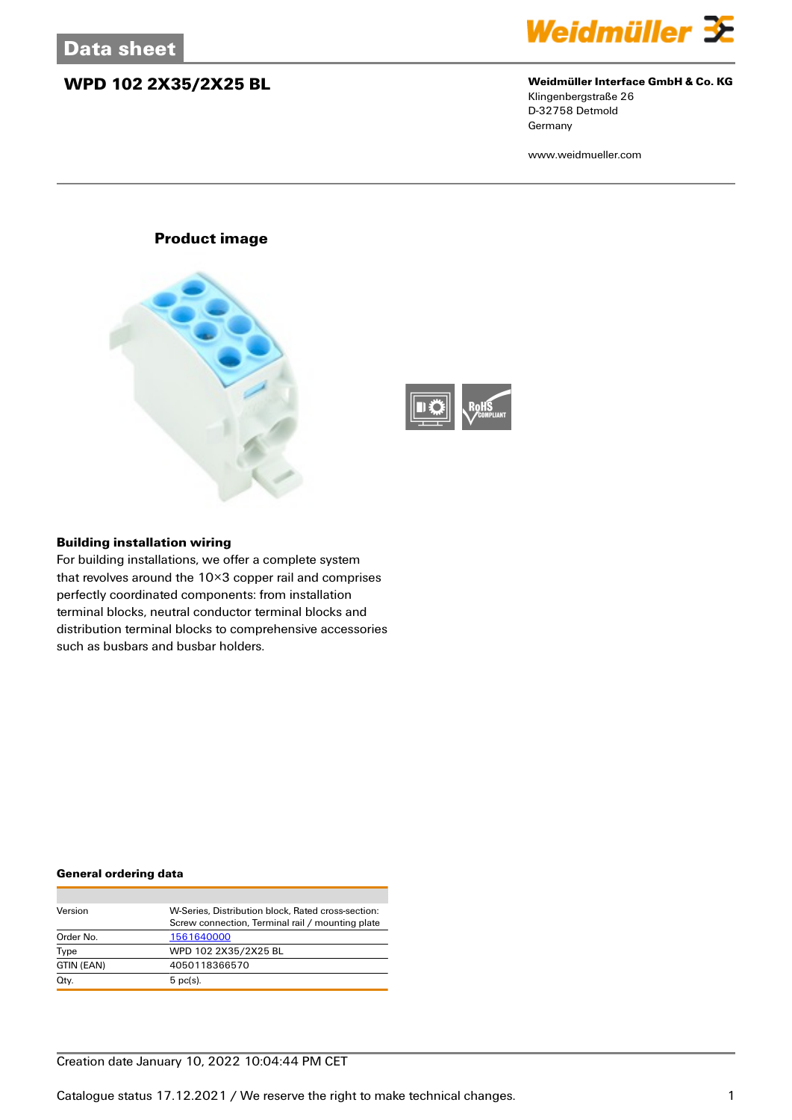## **WPD 102 2X35/2X25 BL Weidmüller Interface GmbH & Co. KG**



# Klingenbergstraße 26

D-32758 Detmold Germany

www.weidmueller.com

### **Product image**





### **Building installation wiring**

For building installations, we offer a complete system that revolves around the 10×3 copper rail and comprises perfectly coordinated components: from installation terminal blocks, neutral conductor terminal blocks and distribution terminal blocks to comprehensive accessories such as busbars and busbar holders.

### **General ordering data**

| Version    | W-Series, Distribution block, Rated cross-section: |
|------------|----------------------------------------------------|
|            | Screw connection, Terminal rail / mounting plate   |
| Order No.  | 1561640000                                         |
| Type       | WPD 102 2X35/2X25 BL                               |
| GTIN (EAN) | 4050118366570                                      |
| Qty.       | $5$ pc(s).                                         |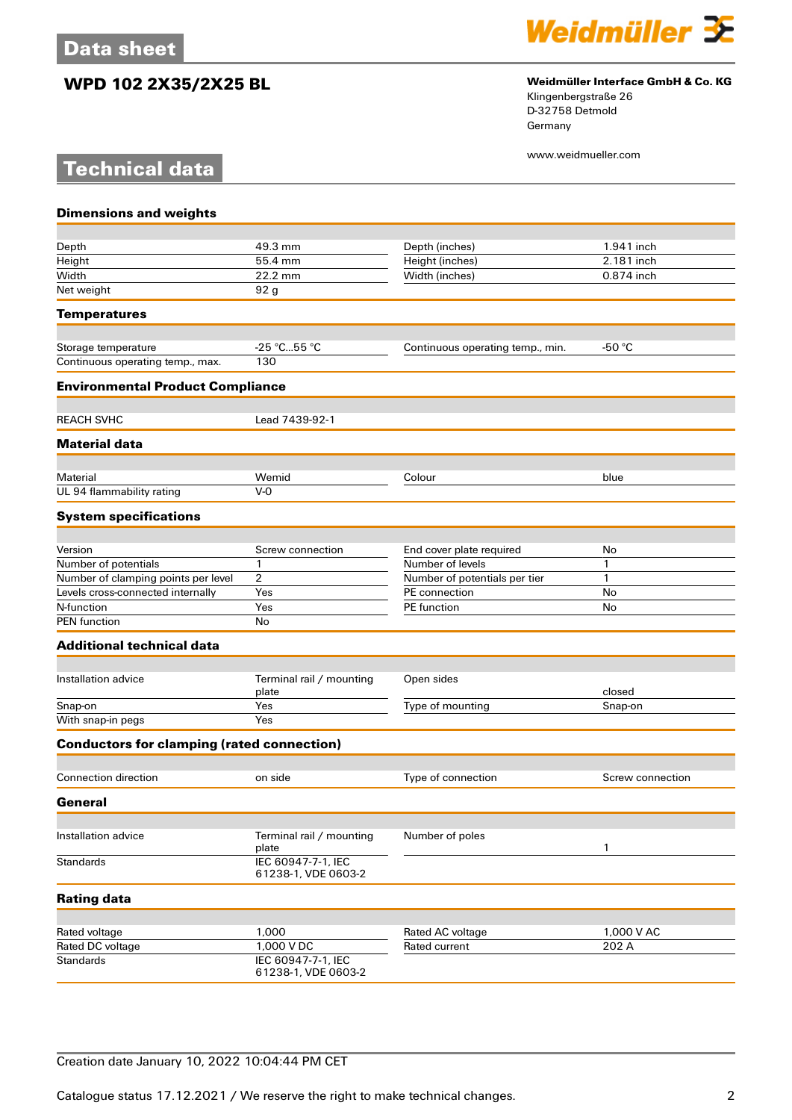**Technical data**



## **WPD 102 2X35/2X25 BL Weidmüller Interface GmbH & Co. KG**

Klingenbergstraße 26 D-32758 Detmold Germany

www.weidmueller.com

| <b>Dimensions and weights</b>                     |                                           |                                   |                     |
|---------------------------------------------------|-------------------------------------------|-----------------------------------|---------------------|
| Depth                                             | 49.3 mm                                   | Depth (inches)                    | 1.941 inch          |
| Height                                            | 55.4 mm                                   | Height (inches)                   | 2.181 inch          |
| Width                                             | 22.2 mm                                   | Width (inches)                    | 0.874 inch          |
| Net weight                                        | 92 g                                      |                                   |                     |
| <b>Temperatures</b>                               |                                           |                                   |                     |
|                                                   |                                           |                                   |                     |
| Storage temperature                               | -25 °C55 °C                               | Continuous operating temp., min.  | -50 $°C$            |
| Continuous operating temp., max.                  | 130                                       |                                   |                     |
| <b>Environmental Product Compliance</b>           |                                           |                                   |                     |
| <b>REACH SVHC</b>                                 | Lead 7439-92-1                            |                                   |                     |
| <b>Material data</b>                              |                                           |                                   |                     |
|                                                   |                                           |                                   |                     |
| Material<br>UL 94 flammability rating             | Wemid<br>$V - Q$                          | Colour                            | blue                |
| <b>System specifications</b>                      |                                           |                                   |                     |
|                                                   |                                           |                                   |                     |
| Version                                           | Screw connection                          | End cover plate required          | No                  |
| Number of potentials                              | 1                                         | Number of levels                  | 1                   |
| Number of clamping points per level               | $\overline{2}$                            | Number of potentials per tier     | $\mathbf{1}$        |
| Levels cross-connected internally                 | Yes                                       | PE connection                     | No                  |
| N-function                                        | Yes                                       | <b>PE</b> function                | No                  |
| <b>PEN</b> function                               | No                                        |                                   |                     |
| <b>Additional technical data</b>                  |                                           |                                   |                     |
| Installation advice                               | Terminal rail / mounting                  | Open sides                        |                     |
|                                                   | plate                                     |                                   | closed              |
| Snap-on                                           | Yes                                       | Type of mounting                  | Snap-on             |
| With snap-in pegs                                 | Yes                                       |                                   |                     |
| <b>Conductors for clamping (rated connection)</b> |                                           |                                   |                     |
| <b>Connection direction</b>                       | on side                                   | Type of connection                | Screw connection    |
| General                                           |                                           |                                   |                     |
|                                                   |                                           |                                   |                     |
| Installation advice                               | Terminal rail / mounting<br>plate         | Number of poles                   | $\mathbf{1}$        |
| <b>Standards</b>                                  | IEC 60947-7-1, IEC<br>61238-1, VDE 0603-2 |                                   |                     |
| <b>Rating data</b>                                |                                           |                                   |                     |
|                                                   |                                           |                                   |                     |
| Rated voltage<br>Rated DC voltage                 | 1,000<br>1,000 V DC                       | Rated AC voltage<br>Rated current | 1,000 V AC<br>202 A |
| <b>Standards</b>                                  | IEC 60947-7-1, IEC                        |                                   |                     |
|                                                   | 61238-1, VDE 0603-2                       |                                   |                     |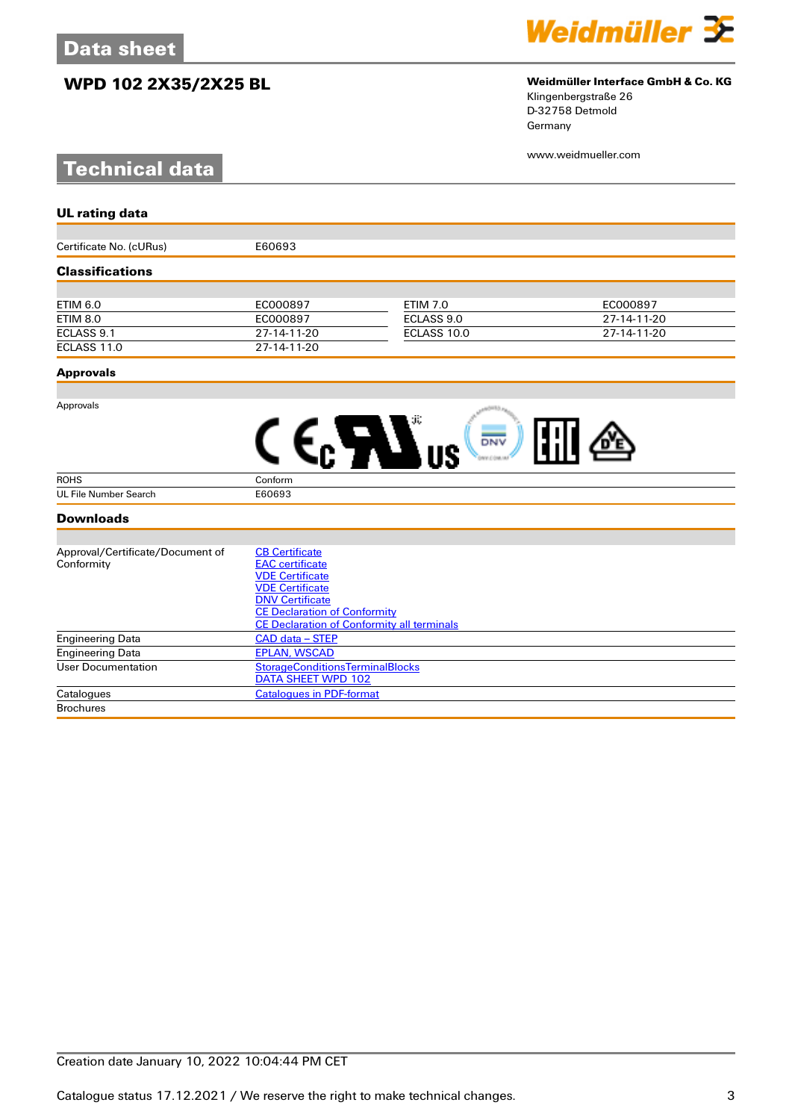## **WPD 102 2X35/2X25 BL Weidmüller Interface GmbH & Co. KG**

# **Technical data**



# Klingenbergstraße 26

D-32758 Detmold Germany

www.weidmueller.com

| <b>UL rating data</b>            |                                                                     |                 |             |  |
|----------------------------------|---------------------------------------------------------------------|-----------------|-------------|--|
|                                  |                                                                     |                 |             |  |
| Certificate No. (cURus)          | E60693                                                              |                 |             |  |
| <b>Classifications</b>           |                                                                     |                 |             |  |
|                                  |                                                                     |                 |             |  |
| <b>ETIM 6.0</b>                  | EC000897                                                            | <b>ETIM 7.0</b> | EC000897    |  |
| <b>ETIM 8.0</b>                  | EC000897                                                            | ECLASS 9.0      | 27-14-11-20 |  |
| ECLASS 9.1                       | 27-14-11-20                                                         | ECLASS 10.0     | 27-14-11-20 |  |
| ECLASS 11.0                      | 27-14-11-20                                                         |                 |             |  |
| <b>Approvals</b>                 |                                                                     |                 |             |  |
| Approvals                        |                                                                     |                 |             |  |
|                                  |                                                                     | DNV             |             |  |
| <b>ROHS</b>                      | Conform                                                             |                 |             |  |
| <b>UL File Number Search</b>     | E60693                                                              |                 |             |  |
| <b>Downloads</b>                 |                                                                     |                 |             |  |
|                                  |                                                                     |                 |             |  |
| Approval/Certificate/Document of | <b>CB Certificate</b>                                               |                 |             |  |
| Conformity                       | <b>EAC</b> certificate                                              |                 |             |  |
|                                  | <b>VDE Certificate</b>                                              |                 |             |  |
|                                  | <b>VDE Certificate</b>                                              |                 |             |  |
|                                  | <b>DNV Certificate</b><br><b>CE Declaration of Conformity</b>       |                 |             |  |
|                                  | <b>CE Declaration of Conformity all terminals</b>                   |                 |             |  |
| <b>Engineering Data</b>          | CAD data - STEP                                                     |                 |             |  |
| <b>Engineering Data</b>          | <b>EPLAN, WSCAD</b>                                                 |                 |             |  |
| <b>User Documentation</b>        | <b>StorageConditionsTerminalBlocks</b><br><b>DATA SHEET WPD 102</b> |                 |             |  |

Catalogues [Catalogues in PDF-format](http://catalog.weidmueller.com/assets/LINK/Catalog.html)

**Brochures**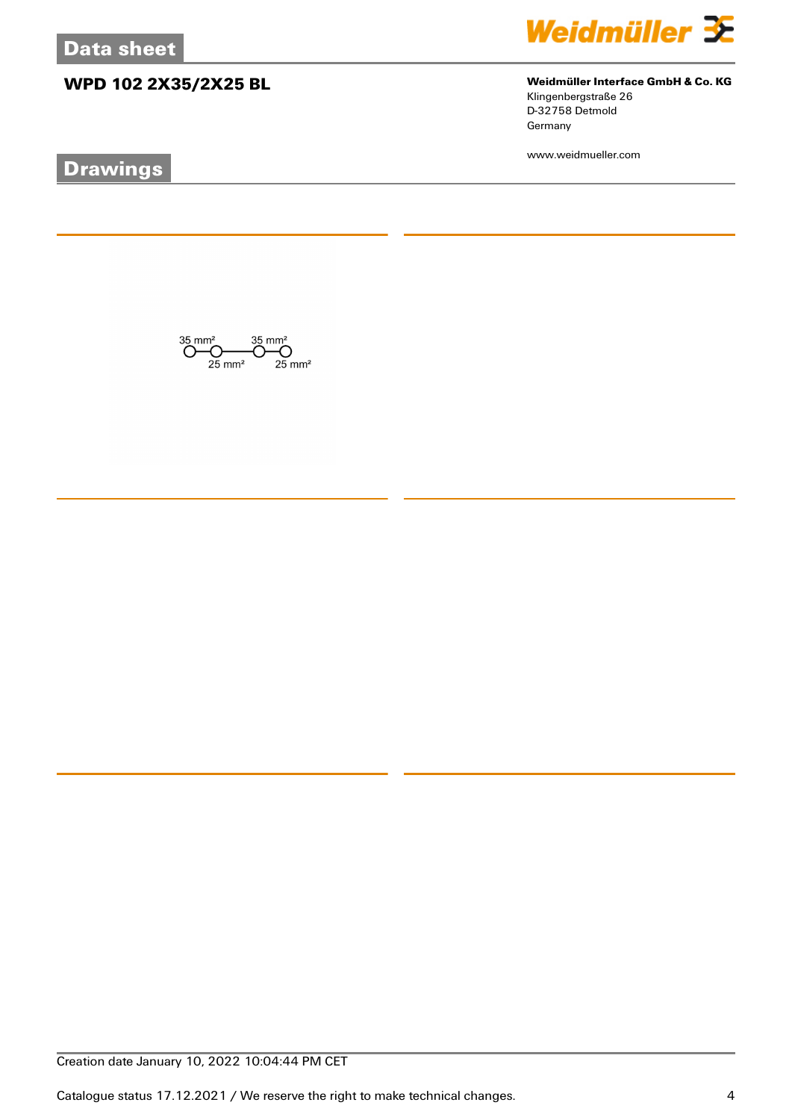## **WPD 102 2X35/2X25 BL Weidmüller Interface GmbH & Co. KG**

# **Drawings**



Klingenbergstraße 26 D-32758 Detmold Germany

www.weidmueller.com

 $\bigodot \hspace{-0.5em}\begin{array}{c}\hspace{-0.5em}35 \hspace{-0.5em}\mod\hspace{-0.2em} 35 \hspace{-0.5em}\mod\hspace{-0.2em} 35\,mm^2\\ \hspace{-0.5em}\bigodot \hspace{-0.5em}\bigodot \hspace{-0.5em}\bigodot \hspace{-0.5em}\bigodot \hspace{-0.5em}\bigodot \hspace{-0.5em}\mod\hspace{-0.2em} 35 \hspace{-0.5em}\mod\hspace{-0.2em} 35\,mm^2\\ \hspace{-0.5em}\text{25 mm}^2 \hspace{-0.5em}\mod\hspace{-$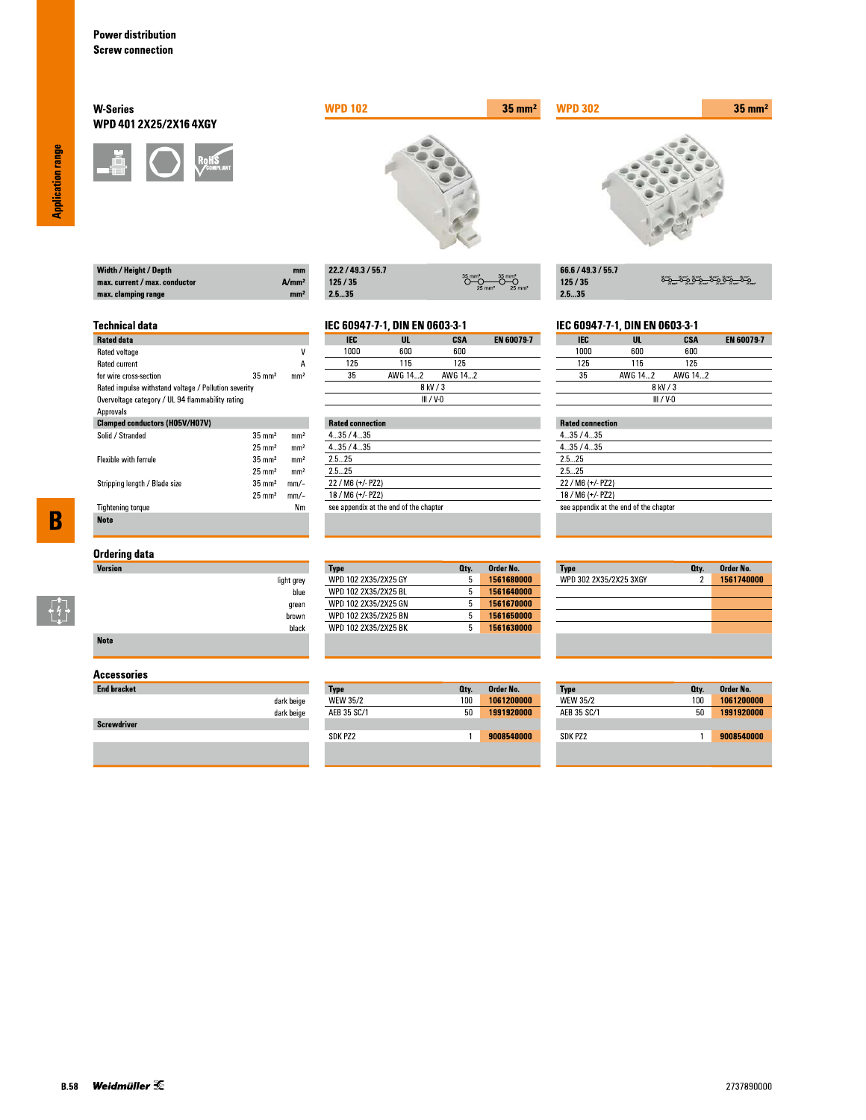Width / Height / Depth max. current / max. conductor

max. clamping range

**Technical data** 

for wire cross-section

Rated data Rated voltage

Rated current

Approvals

Solid / Stranded

Flexible with ferrule

**Tightening torque** 

**Note** 

Stripping length / Blade size

### **W-Series** WPD 401 2X25/2X16 4XGY



Rated impulse withstand voltage / Pollution severity Overvoltage category / UL 94 flammability rating

**Clamped conductors (H05V/H07V)** 



| 22.2 / 49.3 / 55.7 |                                                                   |
|--------------------|-------------------------------------------------------------------|
| 125/35             | $35$ mm <sup>2</sup><br>$25 \text{ mm}^2$<br>$25$ mm <sup>2</sup> |
| -- --              |                                                                   |

# IEC 60947-7-1, DIN EN 0603-3-1

 $A/mm<sup>2</sup>$ 

mm<sup>2</sup>

 $\overline{\mathsf{v}}$ 

 $\overline{A}$ 

 $mm<sup>2</sup>$ 

 $\rm mm^2$ 

 $\mathrm{mm}^2$ 

 $mm<sup>2</sup>$ 

 $mm<sup>2</sup>$ 

 $mm/-$ 

 $mm/-$ 

 $N<sub>m</sub>$ 

 $35 \text{ mm}^2$ 

 $35\;\mathrm{mm}^2$ 

 $25\;\mathrm{mm}^2$ 

 $35\;\mathrm{mm}^2$ 

 $25 \text{ mm}^2$ 

 $35 \text{ mm}^2$ 

 $25 \text{ mm}^2$ 

| IEC       | UL      | CSA     | <b>EN 60079-7</b> |  |
|-----------|---------|---------|-------------------|--|
| 1000      | 600     | 600     |                   |  |
| 125       | 115     | 125     |                   |  |
| 35        | AWG 142 | AWG 142 |                   |  |
| 8 kV / 3  |         |         |                   |  |
| III / V-N |         |         |                   |  |

|         | <b>Rated connection</b>                |  |  |  |
|---------|----------------------------------------|--|--|--|
| 435/435 |                                        |  |  |  |
| 435/435 |                                        |  |  |  |
| 25 25   |                                        |  |  |  |
| 25 25   |                                        |  |  |  |
|         | 22 / M6 (+/- PZ2)                      |  |  |  |
|         | 18 / M6 (+/- PZ2)                      |  |  |  |
|         | see appendix at the end of the chapter |  |  |  |

 $35 \text{ mm}^2$ 

| 66.6 / 49.3 / 55.7 |                       |
|--------------------|-----------------------|
| 125/35             | <u>ڝۊ؎ٷۄٷ؊ۊۄٷڝۊ</u> ٷ |
| 25.35              |                       |

### IEC 60947-7-1, DIN EN 0603-3-1

| <b>IEC</b>  | UL      | CSA     | <b>EN 60079-7</b> |
|-------------|---------|---------|-------------------|
| 1000        | 600     | 600     |                   |
| 125         | 115     | 125     |                   |
| 35          | AWG 142 | AWG 142 |                   |
| 8 kV / 3    |         |         |                   |
| $III / V-0$ |         |         |                   |

## **Rated connection**

**WPD 302** 

| 4.35/4.35                              |  |
|----------------------------------------|--|
| 435/435                                |  |
| 2.5 25                                 |  |
| 25 25                                  |  |
| $22 / M6 (+/- PZ2)$                    |  |
| 18 / M6 (+/- PZ2)                      |  |
| see appendix at the end of the chapter |  |
|                                        |  |

# $\overline{\mathbf{B}}$

 $\begin{bmatrix} 7 \\ 4 \\ 1 \end{bmatrix}$ 

## **Ordering data**

| Version     |            |
|-------------|------------|
|             | light grey |
|             | blue       |
|             | green      |
|             | brown      |
|             | black      |
| <b>Note</b> |            |

### **Accessories**

| <b>End bracket</b> |            |
|--------------------|------------|
|                    | dark beige |
|                    | dark beige |
| <b>Screwdriver</b> |            |
|                    |            |

### Order No. **Type** Oty. WPD 102 2X35/2X25 GY 1561680000  $5<sup>7</sup>$ 1561640000 WPD 102 2X35/2X25 BL  $5<sup>1</sup>$ WPD 102 2X35/2X25 GN  $5<sub>1</sub>$ 1561670000 WPD 102 2X35/2X25 BN  $5 - 1561650000$ WPD 102 2X35/2X25 BK  $5<sup>7</sup>$ 1561630000

| Type        | Oty. | Order No.  |
|-------------|------|------------|
| WEW 35/2    | 100  | 1061200000 |
| AEB 35 SC/1 | 50   | 1991920000 |
|             |      |            |
| SDK PZ2     |      | 9008540000 |

| <b>Type</b>            | Qty. | Order No.  |
|------------------------|------|------------|
| WPD 302 2X35/2X25 3XGY | 2    | 1561740000 |
|                        |      |            |
|                        |      |            |
|                        |      |            |
|                        |      |            |
|                        |      |            |
|                        |      |            |

| Type            | Qty. | Order No.  |
|-----------------|------|------------|
| <b>WEW 35/2</b> | 100  | 1061200000 |
| AFB 35 SC/1     | 50   | 1991920000 |
|                 |      |            |
| SDK P72         |      | 9008540000 |

**Application range**